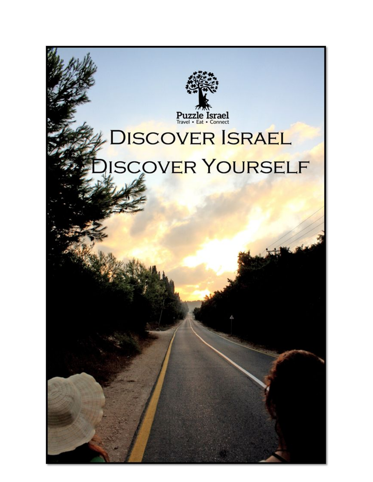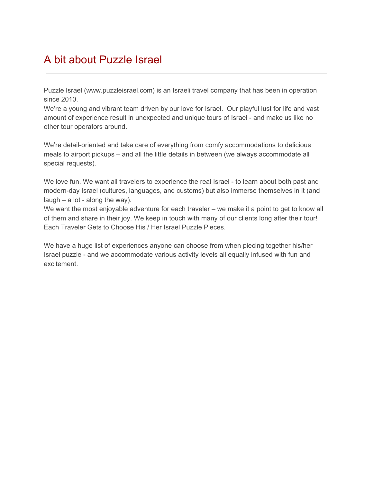# A bit about Puzzle Israel

Puzzle Israel (www.puzzleisrael.com) is an Israeli travel company that has been in operation since 2010.

We're a young and vibrant team driven by our love for Israel. Our playful lust for life and vast amount of experience result in unexpected and unique tours of Israel - and make us like no other tour operators around.

We're detail-oriented and take care of everything from comfy accommodations to delicious meals to airport pickups – and all the little details in between (we always accommodate all special requests).

We love fun. We want all travelers to experience the real Israel - to learn about both past and modern-day Israel (cultures, languages, and customs) but also immerse themselves in it (and  $laugh - a lot - along the way).$ 

We want the most enjoyable adventure for each traveler – we make it a point to get to know all of them and share in their joy. We keep in touch with many of our clients long after their tour! Each Traveler Gets to Choose His / Her Israel Puzzle Pieces.

We have a huge list of experiences anyone can choose from when piecing together his/her Israel puzzle - and we accommodate various activity levels all equally infused with fun and excitement.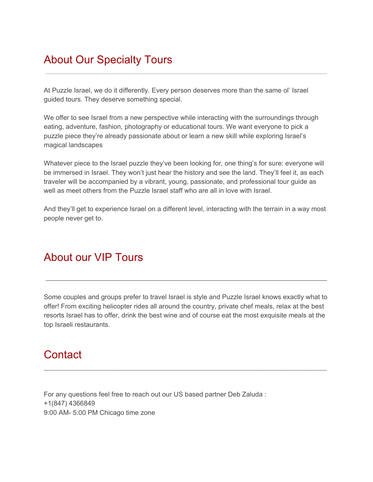## About Our Specialty Tours

At Puzzle Israel, we do it differently. Every person deserves more than the same ol' Israel guided tours. They deserve something special.

We offer to see Israel from a new perspective while interacting with the surroundings through eating, adventure, fashion, photography or educational tours. We want everyone to pick a puzzle piece they're already passionate about or learn a new skill while exploring Israel's magical landscapes

Whatever piece to the Israel puzzle they've been looking for, one thing's for sure: everyone will be immersed in Israel. They won't just hear the history and see the land. They'll feel it, as each traveler will be accompanied by a vibrant, young, passionate, and professional tour guide as well as meet others from the Puzzle Israel staff who are all in love with Israel.

And they'll get to experience Israel on a different level, interacting with the terrain in a way most people never get to.

#### About our VIP Tours

Some couples and groups prefer to travel Israel is style and Puzzle Israel knows exactly what to offer! From exciting helicopter rides all around the country, private chef meals, relax at the best resorts Israel has to offer, drink the best wine and of course eat the most exquisite meals at the top Israeli restaurants.

\_\_\_\_\_\_\_\_\_\_\_\_\_\_\_\_\_\_\_\_\_\_\_\_\_\_\_\_\_\_\_\_\_\_\_\_\_\_\_\_\_\_\_\_\_\_\_\_\_\_\_\_\_\_\_\_\_\_\_\_\_\_\_\_\_\_\_\_\_\_\_\_\_\_\_\_

## **Contact**

For any questions feel free to reach out our US based partner Deb Zaluda : +1(847) 4366849 9:00 AM- 5:00 PM Chicago time zone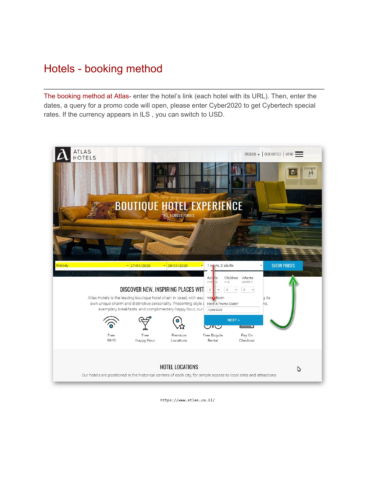## Hotels - booking method

The booking method at Atlas- enter the hotel's link (each hotel with its URL). Then, enter the dates, a query for a promo code will open, please enter Cyber2020 to get Cybertech special rates. If the currency appears in ILS , you can switch to USD.

 $\mathcal{L}_\text{max}$  and  $\mathcal{L}_\text{max}$  and  $\mathcal{L}_\text{max}$  and  $\mathcal{L}_\text{max}$  and  $\mathcal{L}_\text{max}$  and  $\mathcal{L}_\text{max}$ 



https://www.atlas.co.il/